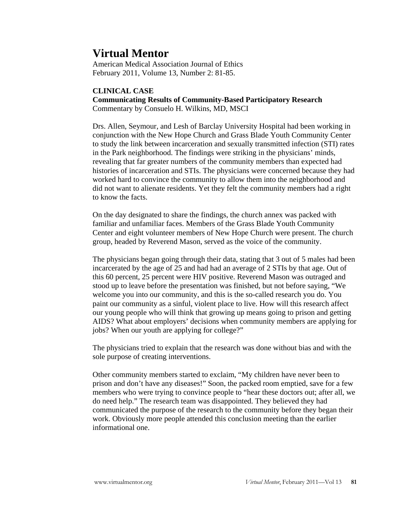# **Virtual Mentor**

American Medical Association Journal of Ethics February 2011, Volume 13, Number 2: 81-85.

## **CLINICAL CASE**

**Communicating Results of Community-Based Participatory Research**  Commentary by Consuelo H. Wilkins, MD, MSCI

Drs. Allen, Seymour, and Lesh of Barclay University Hospital had been working in conjunction with the New Hope Church and Grass Blade Youth Community Center to study the link between incarceration and sexually transmitted infection (STI) rates in the Park neighborhood. The findings were striking in the physicians' minds, revealing that far greater numbers of the community members than expected had histories of incarceration and STIs. The physicians were concerned because they had worked hard to convince the community to allow them into the neighborhood and did not want to alienate residents. Yet they felt the community members had a right to know the facts.

On the day designated to share the findings, the church annex was packed with familiar and unfamiliar faces. Members of the Grass Blade Youth Community Center and eight volunteer members of New Hope Church were present. The church group, headed by Reverend Mason, served as the voice of the community.

The physicians began going through their data, stating that 3 out of 5 males had been incarcerated by the age of 25 and had had an average of 2 STIs by that age. Out of this 60 percent, 25 percent were HIV positive. Reverend Mason was outraged and stood up to leave before the presentation was finished, but not before saying, "We welcome you into our community, and this is the so-called research you do. You paint our community as a sinful, violent place to live. How will this research affect our young people who will think that growing up means going to prison and getting AIDS? What about employers' decisions when community members are applying for jobs? When our youth are applying for college?"

The physicians tried to explain that the research was done without bias and with the sole purpose of creating interventions.

Other community members started to exclaim, "My children have never been to prison and don't have any diseases!" Soon, the packed room emptied, save for a few members who were trying to convince people to "hear these doctors out; after all, we do need help." The research team was disappointed. They believed they had communicated the purpose of the research to the community before they began their work. Obviously more people attended this conclusion meeting than the earlier informational one.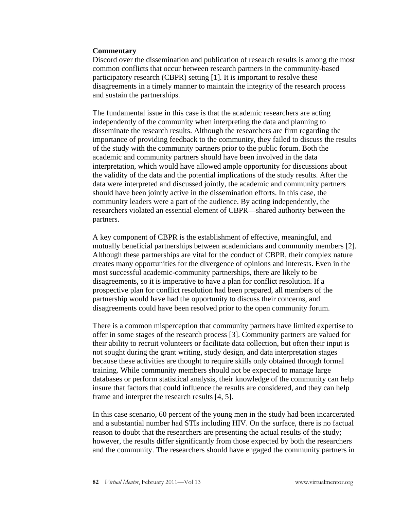#### **Commentary**

Discord over the dissemination and publication of research results is among the most common conflicts that occur between research partners in the community-based participatory research (CBPR) setting [1]. It is important to resolve these disagreements in a timely manner to maintain the integrity of the research process and sustain the partnerships.

The fundamental issue in this case is that the academic researchers are acting independently of the community when interpreting the data and planning to disseminate the research results. Although the researchers are firm regarding the importance of providing feedback to the community, they failed to discuss the results of the study with the community partners prior to the public forum. Both the academic and community partners should have been involved in the data interpretation, which would have allowed ample opportunity for discussions about the validity of the data and the potential implications of the study results. After the data were interpreted and discussed jointly, the academic and community partners should have been jointly active in the dissemination efforts. In this case, the community leaders were a part of the audience. By acting independently, the researchers violated an essential element of CBPR—shared authority between the partners.

A key component of CBPR is the establishment of effective, meaningful, and mutually beneficial partnerships between academicians and community members [2]. Although these partnerships are vital for the conduct of CBPR, their complex nature creates many opportunities for the divergence of opinions and interests. Even in the most successful academic-community partnerships, there are likely to be disagreements, so it is imperative to have a plan for conflict resolution. If a prospective plan for conflict resolution had been prepared, all members of the partnership would have had the opportunity to discuss their concerns, and disagreements could have been resolved prior to the open community forum.

There is a common misperception that community partners have limited expertise to offer in some stages of the research process [3]. Community partners are valued for their ability to recruit volunteers or facilitate data collection, but often their input is not sought during the grant writing, study design, and data interpretation stages because these activities are thought to require skills only obtained through formal training. While community members should not be expected to manage large databases or perform statistical analysis, their knowledge of the community can help insure that factors that could influence the results are considered, and they can help frame and interpret the research results [4, 5].

In this case scenario, 60 percent of the young men in the study had been incarcerated and a substantial number had STIs including HIV. On the surface, there is no factual reason to doubt that the researchers are presenting the actual results of the study; however, the results differ significantly from those expected by both the researchers and the community. The researchers should have engaged the community partners in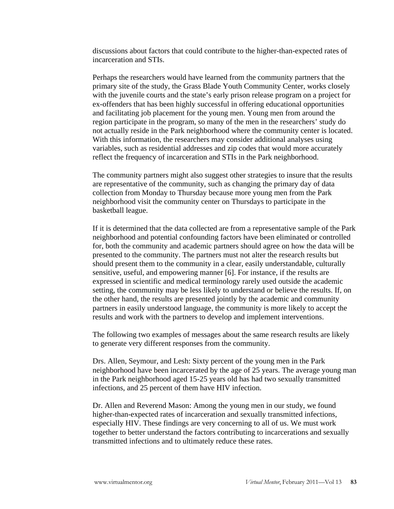discussions about factors that could contribute to the higher-than-expected rates of incarceration and STIs.

Perhaps the researchers would have learned from the community partners that the primary site of the study, the Grass Blade Youth Community Center, works closely with the juvenile courts and the state's early prison release program on a project for ex-offenders that has been highly successful in offering educational opportunities and facilitating job placement for the young men. Young men from around the region participate in the program, so many of the men in the researchers' study do not actually reside in the Park neighborhood where the community center is located. With this information, the researchers may consider additional analyses using variables, such as residential addresses and zip codes that would more accurately reflect the frequency of incarceration and STIs in the Park neighborhood.

The community partners might also suggest other strategies to insure that the results are representative of the community, such as changing the primary day of data collection from Monday to Thursday because more young men from the Park neighborhood visit the community center on Thursdays to participate in the basketball league.

If it is determined that the data collected are from a representative sample of the Park neighborhood and potential confounding factors have been eliminated or controlled for, both the community and academic partners should agree on how the data will be presented to the community. The partners must not alter the research results but should present them to the community in a clear, easily understandable, culturally sensitive, useful, and empowering manner [6]. For instance, if the results are expressed in scientific and medical terminology rarely used outside the academic setting, the community may be less likely to understand or believe the results. If, on the other hand, the results are presented jointly by the academic and community partners in easily understood language, the community is more likely to accept the results and work with the partners to develop and implement interventions.

The following two examples of messages about the same research results are likely to generate very different responses from the community.

Drs. Allen, Seymour, and Lesh: Sixty percent of the young men in the Park neighborhood have been incarcerated by the age of 25 years. The average young man in the Park neighborhood aged 15-25 years old has had two sexually transmitted infections, and 25 percent of them have HIV infection.

Dr. Allen and Reverend Mason: Among the young men in our study, we found higher-than-expected rates of incarceration and sexually transmitted infections, especially HIV. These findings are very concerning to all of us. We must work together to better understand the factors contributing to incarcerations and sexually transmitted infections and to ultimately reduce these rates.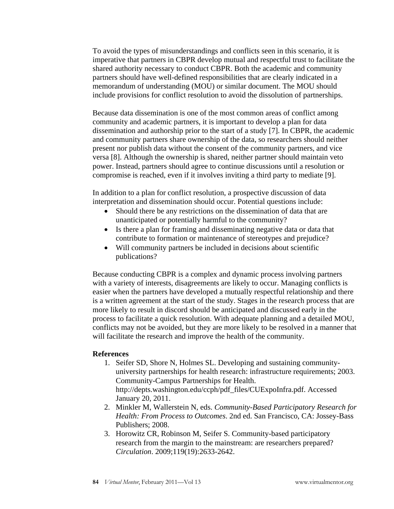To avoid the types of misunderstandings and conflicts seen in this scenario, it is imperative that partners in CBPR develop mutual and respectful trust to facilitate the shared authority necessary to conduct CBPR. Both the academic and community partners should have well-defined responsibilities that are clearly indicated in a memorandum of understanding (MOU) or similar document. The MOU should include provisions for conflict resolution to avoid the dissolution of partnerships.

Because data dissemination is one of the most common areas of conflict among community and academic partners, it is important to develop a plan for data dissemination and authorship prior to the start of a study [7]. In CBPR, the academic and community partners share ownership of the data, so researchers should neither present nor publish data without the consent of the community partners, and vice versa [8]. Although the ownership is shared, neither partner should maintain veto power. Instead, partners should agree to continue discussions until a resolution or compromise is reached, even if it involves inviting a third party to mediate [9].

In addition to a plan for conflict resolution, a prospective discussion of data interpretation and dissemination should occur. Potential questions include:

- Should there be any restrictions on the dissemination of data that are unanticipated or potentially harmful to the community?
- Is there a plan for framing and disseminating negative data or data that contribute to formation or maintenance of stereotypes and prejudice?
- Will community partners be included in decisions about scientific publications?

Because conducting CBPR is a complex and dynamic process involving partners with a variety of interests, disagreements are likely to occur. Managing conflicts is easier when the partners have developed a mutually respectful relationship and there is a written agreement at the start of the study. Stages in the research process that are more likely to result in discord should be anticipated and discussed early in the process to facilitate a quick resolution. With adequate planning and a detailed MOU, conflicts may not be avoided, but they are more likely to be resolved in a manner that will facilitate the research and improve the health of the community.

### **References**

- 1. Seifer SD, Shore N, Holmes SL. Developing and sustaining communityuniversity partnerships for health research: infrastructure requirements; 2003. Community-Campus Partnerships for Health. http://depts.washington.edu/ccph/pdf\_files/CUExpoInfra.pdf. Accessed January 20, 2011.
- 2. Minkler M, Wallerstein N, eds. *Community-Based Participatory Research for Health: From Process to Outcomes*. 2nd ed. San Francisco, CA: Jossey-Bass Publishers; 2008.
- 3. Horowitz CR, Robinson M, Seifer S. Community-based participatory research from the margin to the mainstream: are researchers prepared? *Circulation*. 2009;119(19):2633-2642.